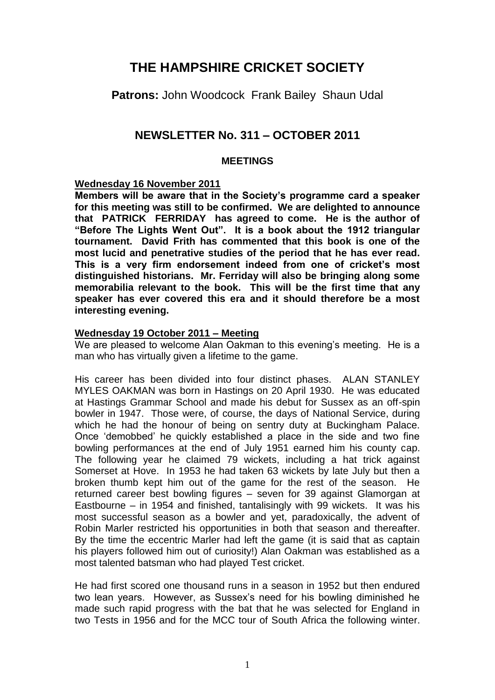# **THE HAMPSHIRE CRICKET SOCIETY**

**Patrons:** John Woodcock Frank Bailey Shaun Udal

# **NEWSLETTER No. 311 – OCTOBER 2011**

# **MEETINGS**

# **Wednesday 16 November 2011**

**Members will be aware that in the Society's programme card a speaker for this meeting was still to be confirmed. We are delighted to announce that PATRICK FERRIDAY has agreed to come. He is the author of "Before The Lights Went Out". It is a book about the 1912 triangular tournament. David Frith has commented that this book is one of the most lucid and penetrative studies of the period that he has ever read. This is a very firm endorsement indeed from one of cricket's most distinguished historians. Mr. Ferriday will also be bringing along some memorabilia relevant to the book. This will be the first time that any speaker has ever covered this era and it should therefore be a most interesting evening.**

# **Wednesday 19 October 2011 – Meeting**

We are pleased to welcome Alan Oakman to this evening's meeting. He is a man who has virtually given a lifetime to the game.

His career has been divided into four distinct phases. ALAN STANLEY MYLES OAKMAN was born in Hastings on 20 April 1930. He was educated at Hastings Grammar School and made his debut for Sussex as an off-spin bowler in 1947. Those were, of course, the days of National Service, during which he had the honour of being on sentry duty at Buckingham Palace. Once 'demobbed' he quickly established a place in the side and two fine bowling performances at the end of July 1951 earned him his county cap. The following year he claimed 79 wickets, including a hat trick against Somerset at Hove. In 1953 he had taken 63 wickets by late July but then a broken thumb kept him out of the game for the rest of the season. He returned career best bowling figures – seven for 39 against Glamorgan at Eastbourne – in 1954 and finished, tantalisingly with 99 wickets. It was his most successful season as a bowler and yet, paradoxically, the advent of Robin Marler restricted his opportunities in both that season and thereafter. By the time the eccentric Marler had left the game (it is said that as captain his players followed him out of curiosity!) Alan Oakman was established as a most talented batsman who had played Test cricket.

He had first scored one thousand runs in a season in 1952 but then endured two lean years. However, as Sussex's need for his bowling diminished he made such rapid progress with the bat that he was selected for England in two Tests in 1956 and for the MCC tour of South Africa the following winter.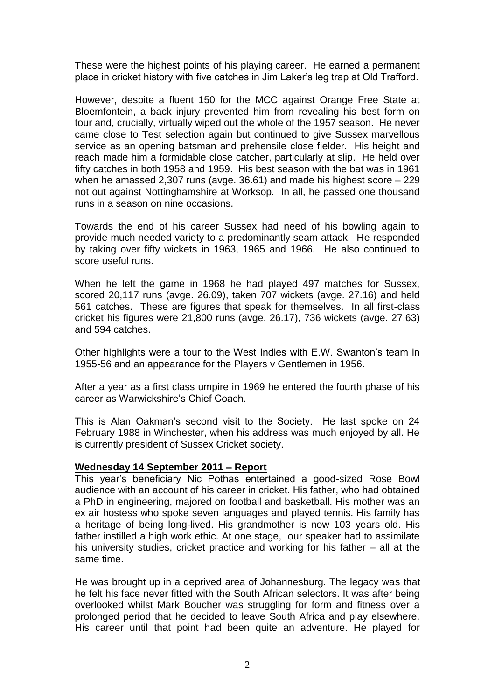These were the highest points of his playing career. He earned a permanent place in cricket history with five catches in Jim Laker's leg trap at Old Trafford.

However, despite a fluent 150 for the MCC against Orange Free State at Bloemfontein, a back injury prevented him from revealing his best form on tour and, crucially, virtually wiped out the whole of the 1957 season. He never came close to Test selection again but continued to give Sussex marvellous service as an opening batsman and prehensile close fielder. His height and reach made him a formidable close catcher, particularly at slip. He held over fifty catches in both 1958 and 1959. His best season with the bat was in 1961 when he amassed 2,307 runs (avge. 36.61) and made his highest score – 229 not out against Nottinghamshire at Worksop. In all, he passed one thousand runs in a season on nine occasions.

Towards the end of his career Sussex had need of his bowling again to provide much needed variety to a predominantly seam attack. He responded by taking over fifty wickets in 1963, 1965 and 1966. He also continued to score useful runs.

When he left the game in 1968 he had played 497 matches for Sussex, scored 20,117 runs (avge. 26.09), taken 707 wickets (avge. 27.16) and held 561 catches. These are figures that speak for themselves. In all first-class cricket his figures were 21,800 runs (avge. 26.17), 736 wickets (avge. 27.63) and 594 catches.

Other highlights were a tour to the West Indies with E.W. Swanton's team in 1955-56 and an appearance for the Players v Gentlemen in 1956.

After a year as a first class umpire in 1969 he entered the fourth phase of his career as Warwickshire's Chief Coach.

This is Alan Oakman's second visit to the Society. He last spoke on 24 February 1988 in Winchester, when his address was much enjoyed by all. He is currently president of Sussex Cricket society.

#### **Wednesday 14 September 2011 – Report**

This year's beneficiary Nic Pothas entertained a good-sized Rose Bowl audience with an account of his career in cricket. His father, who had obtained a PhD in engineering, majored on football and basketball. His mother was an ex air hostess who spoke seven languages and played tennis. His family has a heritage of being long-lived. His grandmother is now 103 years old. His father instilled a high work ethic. At one stage, our speaker had to assimilate his university studies, cricket practice and working for his father – all at the same time.

He was brought up in a deprived area of Johannesburg. The legacy was that he felt his face never fitted with the South African selectors. It was after being overlooked whilst Mark Boucher was struggling for form and fitness over a prolonged period that he decided to leave South Africa and play elsewhere. His career until that point had been quite an adventure. He played for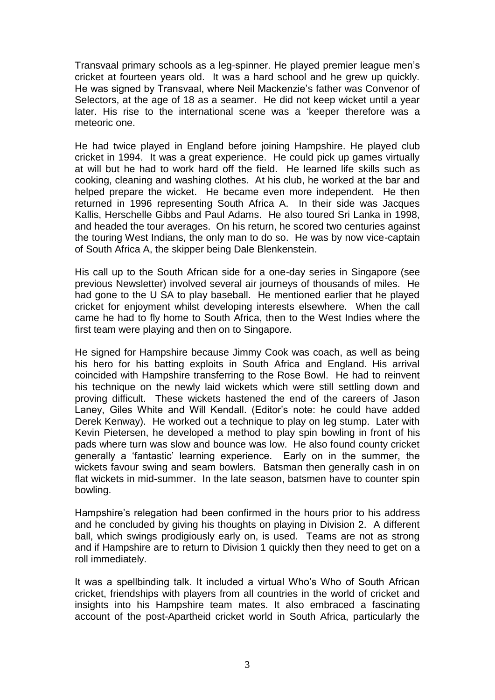Transvaal primary schools as a leg-spinner. He played premier league men's cricket at fourteen years old. It was a hard school and he grew up quickly. He was signed by Transvaal, where Neil Mackenzie's father was Convenor of Selectors, at the age of 18 as a seamer. He did not keep wicket until a year later. His rise to the international scene was a 'keeper therefore was a meteoric one.

He had twice played in England before joining Hampshire. He played club cricket in 1994. It was a great experience. He could pick up games virtually at will but he had to work hard off the field. He learned life skills such as cooking, cleaning and washing clothes. At his club, he worked at the bar and helped prepare the wicket. He became even more independent. He then returned in 1996 representing South Africa A. In their side was Jacques Kallis, Herschelle Gibbs and Paul Adams. He also toured Sri Lanka in 1998, and headed the tour averages. On his return, he scored two centuries against the touring West Indians, the only man to do so. He was by now vice-captain of South Africa A, the skipper being Dale Blenkenstein.

His call up to the South African side for a one-day series in Singapore (see previous Newsletter) involved several air journeys of thousands of miles. He had gone to the U SA to play baseball. He mentioned earlier that he played cricket for enjoyment whilst developing interests elsewhere. When the call came he had to fly home to South Africa, then to the West Indies where the first team were playing and then on to Singapore.

He signed for Hampshire because Jimmy Cook was coach, as well as being his hero for his batting exploits in South Africa and England. His arrival coincided with Hampshire transferring to the Rose Bowl. He had to reinvent his technique on the newly laid wickets which were still settling down and proving difficult. These wickets hastened the end of the careers of Jason Laney, Giles White and Will Kendall. (Editor's note: he could have added Derek Kenway). He worked out a technique to play on leg stump. Later with Kevin Pietersen, he developed a method to play spin bowling in front of his pads where turn was slow and bounce was low. He also found county cricket generally a 'fantastic' learning experience. Early on in the summer, the wickets favour swing and seam bowlers. Batsman then generally cash in on flat wickets in mid-summer. In the late season, batsmen have to counter spin bowling.

Hampshire's relegation had been confirmed in the hours prior to his address and he concluded by giving his thoughts on playing in Division 2. A different ball, which swings prodigiously early on, is used. Teams are not as strong and if Hampshire are to return to Division 1 quickly then they need to get on a roll immediately.

It was a spellbinding talk. It included a virtual Who's Who of South African cricket, friendships with players from all countries in the world of cricket and insights into his Hampshire team mates. It also embraced a fascinating account of the post-Apartheid cricket world in South Africa, particularly the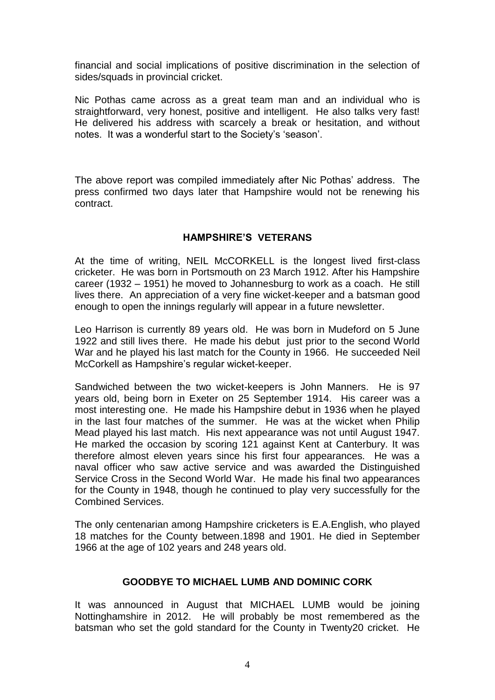financial and social implications of positive discrimination in the selection of sides/squads in provincial cricket.

Nic Pothas came across as a great team man and an individual who is straightforward, very honest, positive and intelligent. He also talks very fast! He delivered his address with scarcely a break or hesitation, and without notes. It was a wonderful start to the Society's 'season'.

The above report was compiled immediately after Nic Pothas' address. The press confirmed two days later that Hampshire would not be renewing his contract.

# **HAMPSHIRE'S VETERANS**

At the time of writing, NEIL McCORKELL is the longest lived first-class cricketer. He was born in Portsmouth on 23 March 1912. After his Hampshire career (1932 – 1951) he moved to Johannesburg to work as a coach. He still lives there. An appreciation of a very fine wicket-keeper and a batsman good enough to open the innings regularly will appear in a future newsletter.

Leo Harrison is currently 89 years old. He was born in Mudeford on 5 June 1922 and still lives there. He made his debut just prior to the second World War and he played his last match for the County in 1966. He succeeded Neil McCorkell as Hampshire's regular wicket-keeper.

Sandwiched between the two wicket-keepers is John Manners. He is 97 years old, being born in Exeter on 25 September 1914. His career was a most interesting one. He made his Hampshire debut in 1936 when he played in the last four matches of the summer. He was at the wicket when Philip Mead played his last match. His next appearance was not until August 1947. He marked the occasion by scoring 121 against Kent at Canterbury. It was therefore almost eleven years since his first four appearances. He was a naval officer who saw active service and was awarded the Distinguished Service Cross in the Second World War. He made his final two appearances for the County in 1948, though he continued to play very successfully for the Combined Services.

The only centenarian among Hampshire cricketers is E.A.English, who played 18 matches for the County between.1898 and 1901. He died in September 1966 at the age of 102 years and 248 years old.

# **GOODBYE TO MICHAEL LUMB AND DOMINIC CORK**

It was announced in August that MICHAEL LUMB would be joining Nottinghamshire in 2012. He will probably be most remembered as the batsman who set the gold standard for the County in Twenty20 cricket. He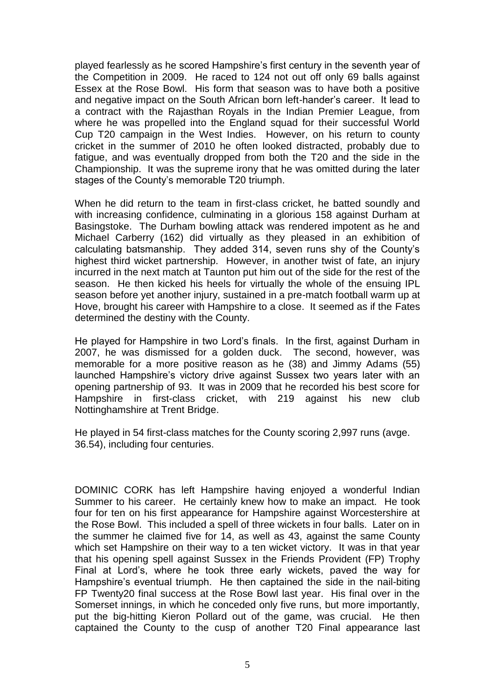played fearlessly as he scored Hampshire's first century in the seventh year of the Competition in 2009. He raced to 124 not out off only 69 balls against Essex at the Rose Bowl. His form that season was to have both a positive and negative impact on the South African born left-hander's career. It lead to a contract with the Rajasthan Royals in the Indian Premier League, from where he was propelled into the England squad for their successful World Cup T20 campaign in the West Indies. However, on his return to county cricket in the summer of 2010 he often looked distracted, probably due to fatigue, and was eventually dropped from both the T20 and the side in the Championship. It was the supreme irony that he was omitted during the later stages of the County's memorable T20 triumph.

When he did return to the team in first-class cricket, he batted soundly and with increasing confidence, culminating in a glorious 158 against Durham at Basingstoke. The Durham bowling attack was rendered impotent as he and Michael Carberry (162) did virtually as they pleased in an exhibition of calculating batsmanship. They added 314, seven runs shy of the County's highest third wicket partnership. However, in another twist of fate, an injury incurred in the next match at Taunton put him out of the side for the rest of the season. He then kicked his heels for virtually the whole of the ensuing IPL season before yet another injury, sustained in a pre-match football warm up at Hove, brought his career with Hampshire to a close. It seemed as if the Fates determined the destiny with the County.

He played for Hampshire in two Lord's finals. In the first, against Durham in 2007, he was dismissed for a golden duck. The second, however, was memorable for a more positive reason as he (38) and Jimmy Adams (55) launched Hampshire's victory drive against Sussex two years later with an opening partnership of 93. It was in 2009 that he recorded his best score for Hampshire in first-class cricket, with 219 against his new club Nottinghamshire at Trent Bridge.

He played in 54 first-class matches for the County scoring 2,997 runs (avge. 36.54), including four centuries.

DOMINIC CORK has left Hampshire having enjoyed a wonderful Indian Summer to his career. He certainly knew how to make an impact. He took four for ten on his first appearance for Hampshire against Worcestershire at the Rose Bowl. This included a spell of three wickets in four balls. Later on in the summer he claimed five for 14, as well as 43, against the same County which set Hampshire on their way to a ten wicket victory. It was in that year that his opening spell against Sussex in the Friends Provident (FP) Trophy Final at Lord's, where he took three early wickets, paved the way for Hampshire's eventual triumph. He then captained the side in the nail-biting FP Twenty20 final success at the Rose Bowl last year. His final over in the Somerset innings, in which he conceded only five runs, but more importantly, put the big-hitting Kieron Pollard out of the game, was crucial. He then captained the County to the cusp of another T20 Final appearance last